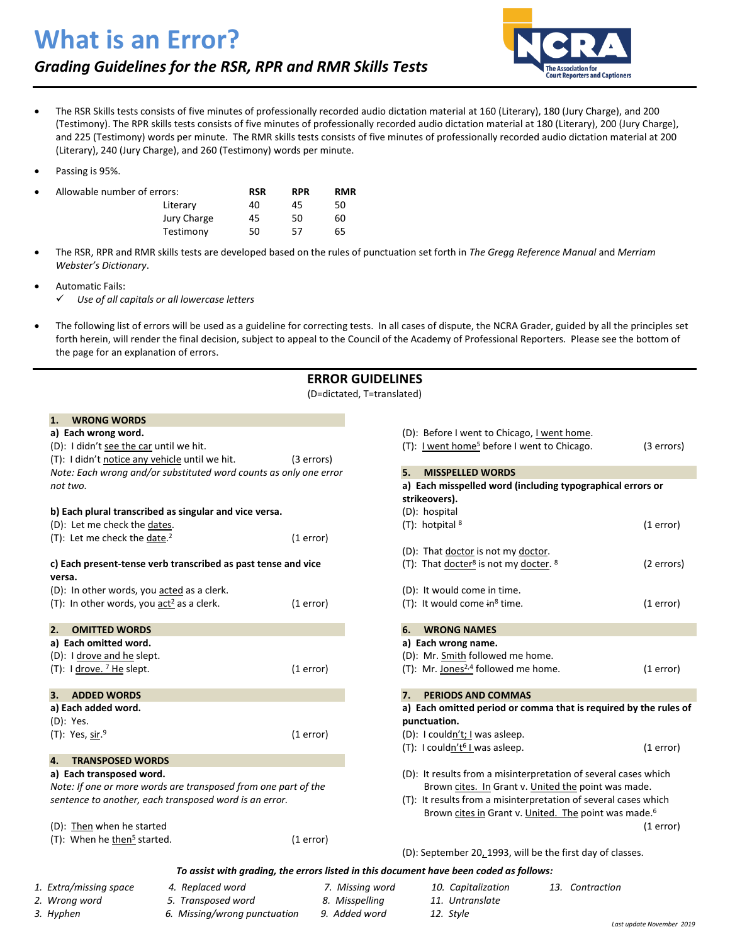# **What is an Error?**

*Grading Guidelines for the RSR, RPR and RMR Skills Tests*



- The RSR Skills tests consists of five minutes of professionally recorded audio dictation material at 160 (Literary), 180 (Jury Charge), and 200 (Testimony). The RPR skills tests consists of five minutes of professionally recorded audio dictation material at 180 (Literary), 200 (Jury Charge), and 225 (Testimony) words per minute. The RMR skills tests consists of five minutes of professionally recorded audio dictation material at 200 (Literary), 240 (Jury Charge), and 260 (Testimony) words per minute.
- Passing is 95%.

| $\bullet$ | Allowable number of errors: | <b>RSR</b> | <b>RPR</b> | <b>RMR</b> |
|-----------|-----------------------------|------------|------------|------------|
|           | Literary                    | 40         | 45         | 50         |
|           | Jury Charge                 | 45         | 50         | 60         |
|           | Testimony                   | 50         | 57         | 65         |

- The RSR, RPR and RMR skills tests are developed based on the rules of punctuation set forth in *The Gregg Reference Manual* and *Merriam Webster's Dictionary*.
- Automatic Fails:

✓ *Use of all capitals or all lowercase letters*

• The following list of errors will be used as a guideline for correcting tests. In all cases of dispute, the NCRA Grader, guided by all the principles set forth herein, will render the final decision, subject to appeal to the Council of the Academy of Professional Reporters. Please see the bottom of the page for an explanation of errors.

### **ERROR GUIDELINES**

(D=dictated, T=translated)

#### **1. WRONG WORDS**

### **a) Each wrong word.**

| ,, LUCII WIUIL WUIUI<br>(D): I didn't see the car until we hit.          |            |
|--------------------------------------------------------------------------|------------|
| (T): I didn't notice any vehicle until we hit.                           | (3 errors) |
| Note: Each wrong and/or substituted word counts as only one error        |            |
| not two.                                                                 |            |
|                                                                          |            |
| b) Each plural transcribed as singular and vice versa.                   |            |
| (D): Let me check the dates.                                             |            |
| (T): Let me check the date. <sup>2</sup>                                 | (1 error)  |
|                                                                          |            |
| c) Each present-tense verb transcribed as past tense and vice            |            |
| versa.                                                                   |            |
| (D): In other words, you acted as a clerk.                               |            |
| (T): In other words, you $\frac{\partial^2 u}{\partial x^2}$ as a clerk. | (1 error)  |
|                                                                          |            |
| <b>OMITTED WORDS</b><br>2.                                               |            |
| a) Each omitted word.                                                    |            |
| (D): I drove and he slept.                                               |            |
| (T): I drove. 7 He slept.                                                | (1 error)  |
|                                                                          |            |
| <b>ADDED WORDS</b><br>3.                                                 |            |
| a) Each added word.                                                      |            |
| (D): Yes.                                                                |            |
| $(T)$ : Yes, sir. <sup>9</sup>                                           | (1 error)  |
|                                                                          |            |
| 4.<br><b>TRANSPOSED WORDS</b>                                            |            |
| a) Each transposed word.                                                 |            |
| Note: If one or more words are transposed from one part of the           |            |
| sentence to another, each transposed word is an error.                   |            |
|                                                                          |            |
| $(n)$ . Then when he started                                             |            |

| (U). <u>THEIT</u> WITCH HE Started      |           |
|-----------------------------------------|-----------|
| (T): When he then <sup>5</sup> started. | (1 error) |

| (D): Before I went to Chicago, I went home.<br>(T): I went home <sup>5</sup> before I went to Chicago. | (3 errors) |  |  |  |
|--------------------------------------------------------------------------------------------------------|------------|--|--|--|
| 5.<br><b>MISSPELLED WORDS</b>                                                                          |            |  |  |  |
| a) Each misspelled word (including typographical errors or                                             |            |  |  |  |
| strikeovers).                                                                                          |            |  |  |  |
| (D): hospital                                                                                          |            |  |  |  |
| $(T)$ : hotpital $8$                                                                                   | (1 error)  |  |  |  |
| (D): That doctor is not my doctor.                                                                     |            |  |  |  |
| (T): That docter <sup>8</sup> is not my docter. $8$                                                    | (2 errors) |  |  |  |
| (D): It would come in time.                                                                            |            |  |  |  |
| $(T)$ : It would come in <sup>8</sup> time.                                                            | (1 error)  |  |  |  |
| 6.<br><b>WRONG NAMES</b>                                                                               |            |  |  |  |
| a) Each wrong name.                                                                                    |            |  |  |  |
| (D): Mr. Smith followed me home.                                                                       |            |  |  |  |
| (T): Mr. Jones <sup>2,4</sup> followed me home.                                                        | (1 error)  |  |  |  |
| 7.<br><b>PERIODS AND COMMAS</b>                                                                        |            |  |  |  |
| a) Each omitted period or comma that is required by the rules of                                       |            |  |  |  |
| punctuation.                                                                                           |            |  |  |  |
| (D): I couldn't; I was asleep.                                                                         |            |  |  |  |
| (T): I couldn't <sup>6</sup> I was asleep.                                                             | (1 error)  |  |  |  |
| (D): It results from a misinterpretation of several cases which                                        |            |  |  |  |
| Brown cites. In Grant v. United the point was made.                                                    |            |  |  |  |
| (T): It results from a misinterpretation of several cases which                                        |            |  |  |  |
| Brown cites in Grant v. United. The point was made. <sup>6</sup>                                       |            |  |  |  |

(1 error)

(D): September 20, 1993, will be the first day of classes.

#### *To assist with grading, the errors listed in this document have been coded as follows:*

| 1. Extra/missing space | Replaced word | 7 Missina word | 10. Capitalization | 13. Contraction |
|------------------------|---------------|----------------|--------------------|-----------------|

- 
- *2. Wrong word 5. Transposed word 8. Misspelling 11. Untranslate*

*3. Hyphen 6. Missing/wrong punctuation 9. Added word 12. Style*

- 
-